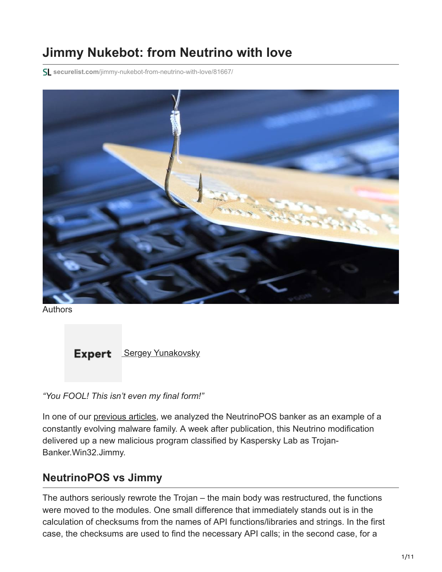# **Jimmy Nukebot: from Neutrino with love**

**securelist.com**[/jimmy-nukebot-from-neutrino-with-love/81667/](https://securelist.com/jimmy-nukebot-from-neutrino-with-love/81667/)



Authors

**Expert** [Sergey Yunakovsky](https://securelist.com/author/sergeyyunakovsky/)

*"You FOOL! This isn't even my final form!"*

In one of our [previous articles,](https://securelist.com/neutrino-modification-for-pos-terminals/78839/) we analyzed the NeutrinoPOS banker as an example of a constantly evolving malware family. A week after publication, this Neutrino modification delivered up a new malicious program classified by Kaspersky Lab as Trojan-Banker.Win32.Jimmy.

## **NeutrinoPOS vs Jimmy**

The authors seriously rewrote the Trojan – the main body was restructured, the functions were moved to the modules. One small difference that immediately stands out is in the calculation of checksums from the names of API functions/libraries and strings. In the first case, the checksums are used to find the necessary API calls; in the second case, for a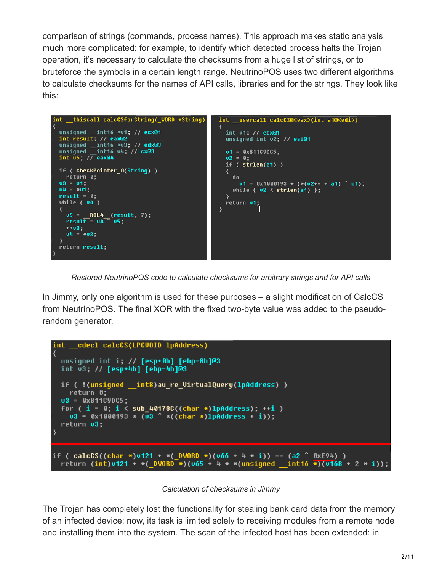comparison of strings (commands, process names). This approach makes static analysis much more complicated: for example, to identify which detected process halts the Trojan operation, it's necessary to calculate the checksums from a huge list of strings, or to bruteforce the symbols in a certain length range. NeutrinoPOS uses two different algorithms to calculate checksums for the names of API calls, libraries and for the strings. They look like this:



*Restored NeutrinoPOS code to calculate checksums for arbitrary strings and for API calls*

In Jimmy, only one algorithm is used for these purposes – a slight modification of CalcCS from NeutrinoPOS. The final XOR with the fixed two-byte value was added to the pseudorandom generator.



*Calculation of checksums in Jimmy*

The Trojan has completely lost the functionality for stealing bank card data from the memory of an infected device; now, its task is limited solely to receiving modules from a remote node and installing them into the system. The scan of the infected host has been extended: in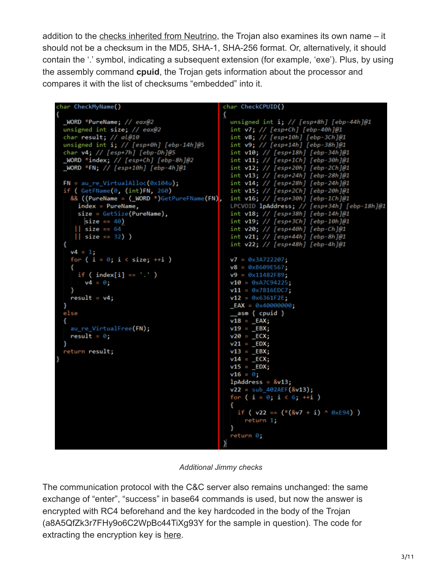addition to the [checks inherited from Neutrino,](https://blog.malwarebytes.com/threat-analysis/2017/02/new-neutrino-bot-comes-in-a-protective-loader/) the Trojan also examines its own name - it should not be a checksum in the MD5, SHA-1, SHA-256 format. Or, alternatively, it should contain the '.' symbol, indicating a subsequent extension (for example, 'exe'). Plus, by using the assembly command **cpuid**, the Trojan gets information about the processor and compares it with the list of checksums "embedded" into it.

```
char CheckMyName()
                                                   char CheckCPUID()
                                                   €
                                                     unsigned int i; // [esp+8h] [ebp-44h]@1<br>int v7; // [esp+Ch] [ebp-40h]@1<br>int v8; // [esp+10h] [ebp-3Ch]@1
  _WORD *PureName; // eax@2
 unsigned int size; // eax@2
  char result; // al@10
                                                     int v9; // [esp+14h] [ebp-38h]@1
  unsigned int i; // [esp+θh] [ebp-14h]@5
  char v4; // [esp+7h] [ebp-Dh]@5
                                                     int v10; // [esp+18h] [ebp-34h]@1
                                                     int v11; // [esp+1Ch] [ebp-30h]@1
  \text{\textsf{\_WORD}} *index; // [esp+Ch] [ebp-8h]@2
 WORD * FN; // [esp+10h] [ebp-4h]@1
                                                     int v12; // [esp+20h] [ebp-2Ch]@1
                                                     int v13; // [esp+24h] [ebp-28h]@1
  FN = au_re_VirtualAlloc(0x104u);int v14; // [esp+28h] [ebp-24h]@1
  if (GetFName(0, (int)FN, 260)
                                                     int v15; // [esp+2Ch] [ebp-20h]@1
    && ((PureName = (_WORD *)GetPureFName(FN),
                                                     int v16; // [esp+30h] [ebp-1Ch]@1
      index = PureName,LPCVOID lpAddress; // [esp+34h] [ebp-18h]@1
      size = GetSize(PureName),
                                                     int v18; // [esp+38h] [ebp-14h]@1
        size == 40)int v19; // [esp+3Ch] [ebp-10h]@1
                                                     int v20; // [esp+40h] [ebp-Ch]@1
        size == 64|| size == 32) )
                                                     int v21; // [esp+44h] [ebp-8h]@1
                                                     int v22; // [esp+48h] [ebp-4h]@1
  Ł
    v4 = 1;
    for (i = \theta; i < size; ++i )
                                                     v7 = 0x3A722207;
                                                     v8 = 0 \times 8609E567;
      if ( index[i] == '.'.')v9 = 0 \times 11482F89;v4 = \theta;
                                                     v10 = 0 \times A7C94225;v11 = 0 \times 7816EDC7;result = v4;v12 = 0x6361F2E;LEAX = 0 \times 40000000;}
  else
                                                      _asm { cpuid }
                                                     v18 = \_EAX;au_re_VirtualFree(FN);
                                                     v19 = -EBX;result = 0;v2\theta = \text{ECX};v21 = -EDX;return result;
                                                     v13 = \_EBX;v14 = \text{ECX};v15 = \text{EDX};v16 = \theta;
                                                     lpAddress = &v13;v22 = sub_402AEF(8v13);for (i = 0; i < 6; ++i)if ( v22 = (*({8v7 + i}) ^ {o}8xE94) )
                                                         return 1;
                                                     return 0;
```
*Additional Jimmy checks*

The communication protocol with the C&C server also remains unchanged: the same exchange of "enter", "success" in base64 commands is used, but now the answer is encrypted with RC4 beforehand and the key hardcoded in the body of the Trojan (a8A5QfZk3r7FHy9o6C2WpBc44TiXg93Y for the sample in question). The code for extracting the encryption key is [here](https://pastebin.com/5VPn7x2k).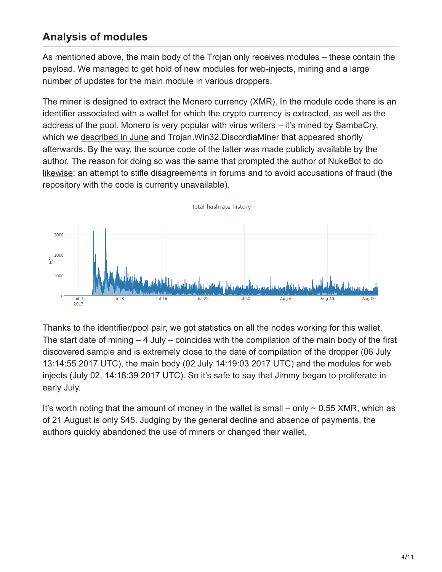## **Analysis of modules**

As mentioned above, the main body of the Trojan only receives modules – these contain the payload. We managed to get hold of new modules for web-injects, mining and a large number of updates for the main module in various droppers.

The miner is designed to extract the Monero currency (XMR). In the module code there is an identifier associated with a wallet for which the crypto currency is extracted, as well as the address of the pool. Monero is very popular with virus writers – it's mined by SambaCry, which we [described in June](https://securelist.com/sambacry-is-coming/78674/) and Trojan.Win32.DiscordiaMiner that appeared shortly afterwards. By the way, the source code of the latter was made publicly available by the [author. The reason for doing so was the same that prompted the author of NukeBot to do](https://securelist.com/the-nukebot-banking-trojan-from-rough-drafts-to-real-threats/78957/) likewise: an attempt to stifle disagreements in forums and to avoid accusations of fraud (the repository with the code is currently unavailable).



Thanks to the identifier/pool pair, we got statistics on all the nodes working for this wallet. The start date of mining – 4 July – coincides with the compilation of the main body of the first discovered sample and is extremely close to the date of compilation of the dropper (06 July 13:14:55 2017 UTC), the main body (02 July 14:19:03 2017 UTC) and the modules for web injects (July 02, 14:18:39 2017 UTC). So it's safe to say that Jimmy began to proliferate in early July.

It's worth noting that the amount of money in the wallet is small – only  $\sim$  0.55 XMR, which as of 21 August is only \$45. Judging by the general decline and absence of payments, the authors quickly abandoned the use of miners or changed their wallet.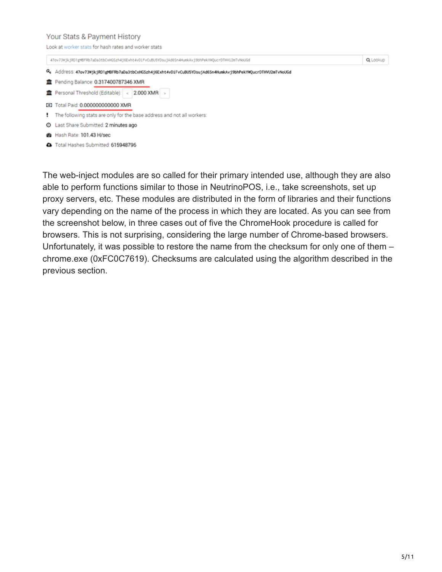#### Your Stats & Payment History the advantage of the property fluid books and as a structure of the set

| LOOK at WOTKET STATS TOF NASH FATES AND WORKER STATS. |                                                                                                          |          |
|-------------------------------------------------------|----------------------------------------------------------------------------------------------------------|----------|
|                                                       | 47ov73WjkjRD1gMBFRb7aDa3tbCxHGSzh4j6Exht4vDiFvCuBU5YDsujAd6Sn4HumkAvj9bhPekYWQucrDTHVU2mTvNoUGd          | Q Lookup |
|                                                       | Address: 47ov73NjkjRD1gMBFRb7aDa3tbCxHGSzh4j6Exht4vDiFvCuBU5YDsujAd6Sn4HumkAvj9bhPekYWQucrDTHVU2mTvNoUGd |          |
|                                                       | THE Pending Balance: 0.317400787346 XMR                                                                  |          |
|                                                       | THE Personal Threshold (Editable):   <   2.000 XMR   >                                                   |          |
|                                                       | <b>32 Total Paid: 0.000000000000 XMR</b>                                                                 |          |
|                                                       | The following stats are only for the base address and not all workers:                                   |          |
|                                                       | <b>O</b> Last Share Submitted: 2 minutes ago                                                             |          |
|                                                       | <b>@</b> Hash Rate: 101.43 H/sec                                                                         |          |

Total Hashes Submitted: 615948796

The web-inject modules are so called for their primary intended use, although they are also able to perform functions similar to those in NeutrinoPOS, i.e., take screenshots, set up proxy servers, etc. These modules are distributed in the form of libraries and their functions vary depending on the name of the process in which they are located. As you can see from the screenshot below, in three cases out of five the ChromeHook procedure is called for browsers. This is not surprising, considering the large number of Chrome-based browsers. Unfortunately, it was possible to restore the name from the checksum for only one of them – chrome.exe (0xFC0C7619). Checksums are calculated using the algorithm described in the previous section.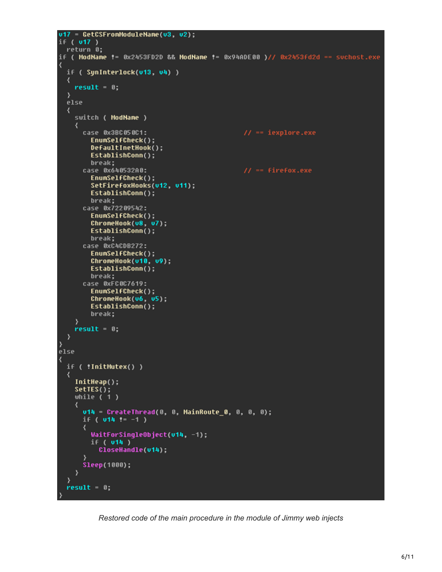```
v17 GetCSFromModuleName(v3, v2);
if ( v17 )
 return 0;
if ( ModName != 0x2453FD2D && ModName != 0x94ADE00 )// 0x2453fd2d == suchost.exe
₹
  if ( SunInterlock(v13, v4) )
  ₹
    result = 0;<sup>}</sup>
  else
  ₹
    switch ( ModName )
    ∢
      case 0x3BC050C1:
                                               11 == iexplore.exe
        EnumSelfCheck();
        DefaultInetHook();
        EstablishConn();
        break;
      case 0x640532A0:
                                                11 = firefox.exe
        EnumSelfCheck();
        SetFirefoxHooks(v12, v11);
        EstablishConn();
        break;
      case 0x72209542:
        EnumSelfCheck();
        ChromeHook(v8, v7);
        EstablishConn();
        break;
      case 0xC4CDB272:
        EnumSelfCheck();
        ChroneHook(v10, v9);
        EstablishConn();
        break;
      case 0xFC0C7619:
        EnumSelfCheck();
        ChromeHook(v6, v5);
        EstablishConn();
        break;
    result = 0;Y
3
else
₹
  if ( !InitMutex() )
  ₹
    InitHeap();
    setIES();
    while (1)₹
      v14 - CreateThread(0, 0, MainRoute_0, 0, 0, 0);
      if ( u14 := -1 )
      ₹
        WaitForSingleObject(v14, -1);
        if ( v14 )
          CloseHandle(v14);
      Sleep(1000);
    ≯
  <sup>}</sup>
  result = 0;
```
*Restored code of the main procedure in the module of Jimmy web injects*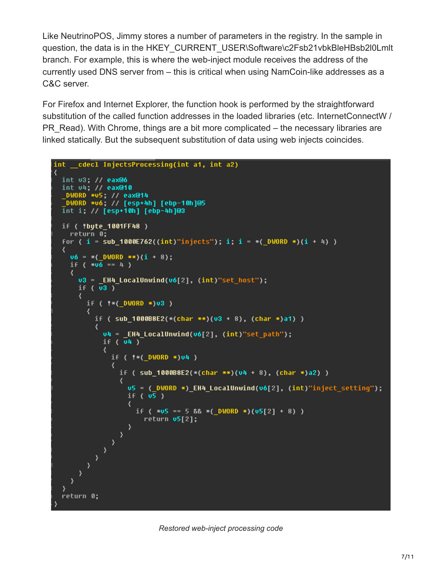Like NeutrinoPOS, Jimmy stores a number of parameters in the registry. In the sample in question, the data is in the HKEY\_CURRENT\_USER\Software\c2Fsb21vbkBleHBsb2l0Lmlt branch. For example, this is where the web-inject module receives the address of the currently used DNS server from – this is critical when using NamCoin-like addresses as a C&C server.

For Firefox and Internet Explorer, the function hook is performed by the straightforward substitution of the called function addresses in the loaded libraries (etc. InternetConnectW / PR\_Read). With Chrome, things are a bit more complicated – the necessary libraries are linked statically. But the subsequent substitution of data using web injects coincides.

```
int cdecl InjectsProcessing(int a1, int a2)
₹
  int v3; // eax@6
  int v4; // eax@10
  _DWORD *v5; // eax@14
   DWORD *v6; // [esp+4h] [ebp-10h]@5
  int i; // [esp+10h] [ebp-4h]@3
  if ( *byte_1001FF48 )
    return 0;
  for ( i = sub 1000E762((int) "injects"); i : i = *()WORD *)(i + 4) )
  ₹
    \mathsf{u6} = *( DWORD **)(i + 8);
    if (*u6 == 4)₹
      v3 = EH4 LocalUnwind(v6[2], (int)"set host");
      if (\overline{u3})₹
        if ( !* ( DWORD *)v3 )
        ₹
           if ( sub_1000B8E2(*(char **)(v3 + 8), (char *)a1) )
           ₹
             u4 = _EH4_LocalUnwind(u6[2], (int)"set_path");
             if (\overline{u}4)₹
               if ( ** ( DWORD *)v4 )
                ₹
                 if ( sub_18000088E2 (*(char **)(u4 + 8), (char *)a2) )
                  ₹
                    u5 = ( DWORD *) EH4 LocalUnwind(u6[2], (int)"inject setting");
                    if (v5)₹
                      if (*u5 == 5 && *(-DWORD *)(u5[2] + 8) )return v5[2];
      \left( \frac{1}{2} \right)\rightarrow\mathcal{E}\mathcal{E}<sup>}</sup>
  return 0;
```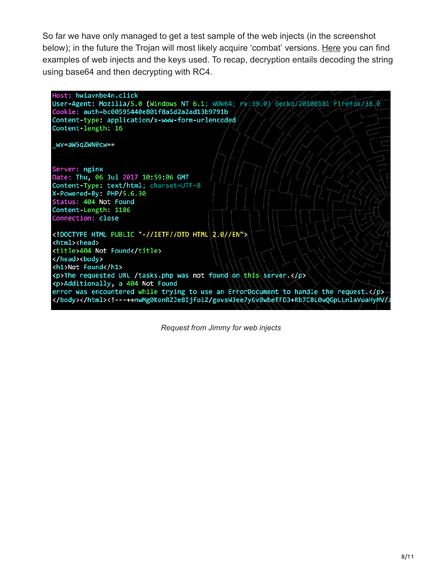So far we have only managed to get a test sample of the web injects (in the screenshot below); in the future the Trojan will most likely acquire 'combat' versions. [Here](https://pastebin.com/VczkKyJP) you can find examples of web injects and the keys used. To recap, decryption entails decoding the string using base64 and then decrypting with RC4.



*Request from Jimmy for web injects*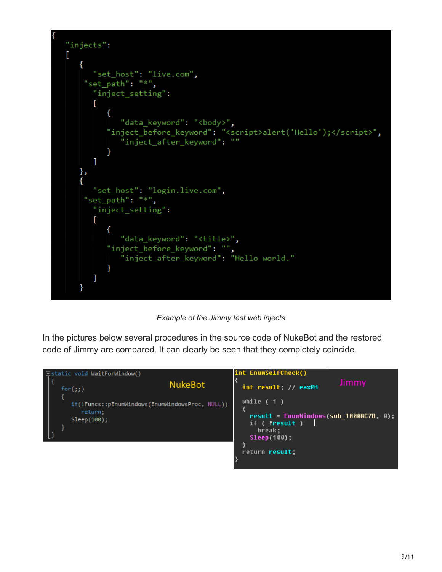

*Example of the Jimmy test web injects*

In the pictures below several procedures in the source code of NukeBot and the restored code of Jimmy are compared. It can clearly be seen that they completely coincide.

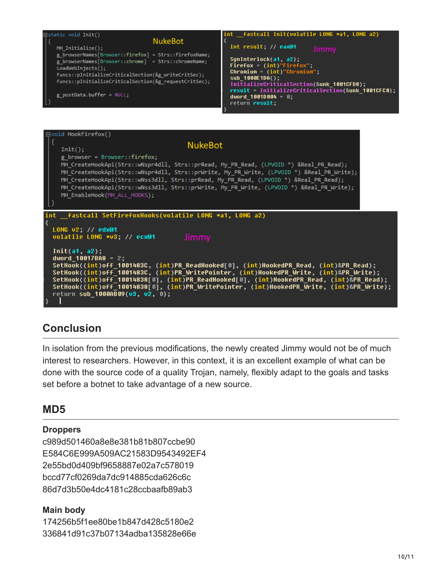



## **Conclusion**

In isolation from the previous modifications, the newly created Jimmy would not be of much interest to researchers. However, in this context, it is an excellent example of what can be done with the source code of a quality Trojan, namely, flexibly adapt to the goals and tasks set before a botnet to take advantage of a new source.

## **MD5**

#### **Droppers**

c989d501460a8e8e381b81b807ccbe90 E584C6E999A509AC21583D9543492EF4 2e55bd0d409bf9658887e02a7c578019 bccd77cf0269da7dc914885cda626c6c 86d7d3b50e4dc4181c28ccbaafb89ab3

#### **Main body**

174256b5f1ee80be1b847d428c5180e2 336841d91c37b07134adba135828e66e